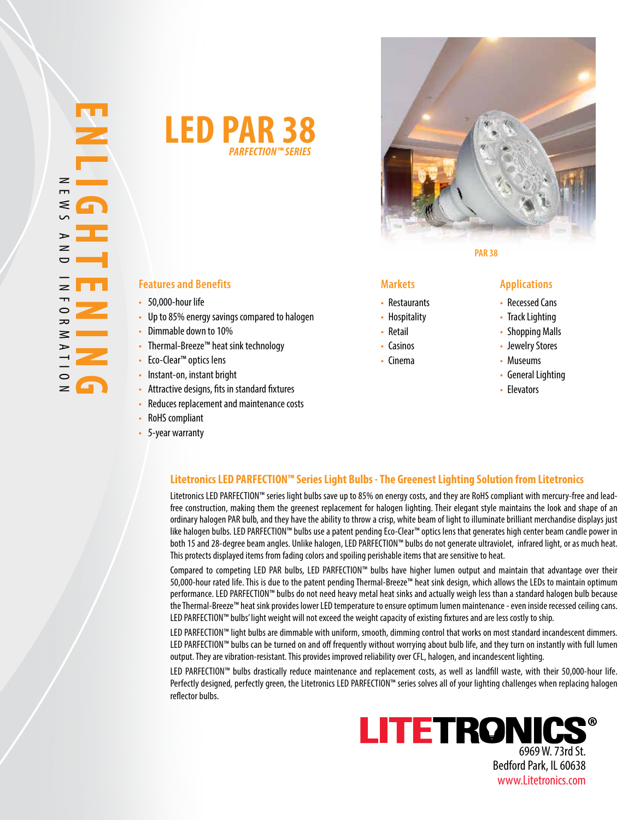



**PAR 38**

### **Features and Benefits Markets Applications**

- 50,000-hour life
- Up to 85% energy savings compared to halogen
- Dimmable down to 10%
- Thermal-Breeze™ heat sink technology
- Eco-Clear™ optics lens
- Instant-on, instant bright
- Attractive designs, fits in standard fixtures
- Reduces replacement and maintenance costs
- RoHS compliant
- 5-year warranty

- Restaurants
- Hospitality
- Retail
- Casinos
- Cinema

- Recessed Cans
- Track Lighting
- Shopping Malls
- Jewelry Stores
- Museums
- General Lighting
- Elevators

### **Litetronics LED PARFECTION™ Series Light Bulbs - The Greenest Lighting Solution from Litetronics**

Litetronics LED PARFECTION™ series light bulbs save up to 85% on energy costs, and they are RoHS compliant with mercury-free and leadfree construction, making them the greenest replacement for halogen lighting. Their elegant style maintains the look and shape of an ordinary halogen PAR bulb, and they have the ability to throw a crisp, white beam of light to illuminate brilliant merchandise displays just like halogen bulbs. LED PARFECTION™ bulbs use a patent pending Eco-Clear™ optics lens that generates high center beam candle power in both 15 and 28-degree beam angles. Unlike halogen, LED PARFECTION™ bulbs do not generate ultraviolet, infrared light, or as much heat. This protects displayed items from fading colors and spoiling perishable items that are sensitive to heat.

Compared to competing LED PAR bulbs, LED PARFECTION™ bulbs have higher lumen output and maintain that advantage over their 50,000-hour rated life. This is due to the patent pending Thermal-Breeze™ heat sink design, which allows the LEDs to maintain optimum performance. LED PARFECTION™ bulbs do not need heavy metal heat sinks and actually weigh less than a standard halogen bulb because the Thermal-Breeze™ heat sink provides lower LED temperature to ensure optimum lumen maintenance - even inside recessed ceiling cans. LED PARFECTION™ bulbs' light weight will not exceed the weight capacity of existing fixtures and are less costly to ship.

LED PARFECTION™ light bulbs are dimmable with uniform, smooth, dimming control that works on most standard incandescent dimmers. LED PARFECTION™ bulbs can be turned on and off frequently without worrying about bulb life, and they turn on instantly with full lumen output. They are vibration-resistant. This provides improved reliability over CFL, halogen, and incandescent lighting.

LED PARFECTION™ bulbs drastically reduce maintenance and replacement costs, as well as landfill waste, with their 50,000-hour life. Perfectly designed, perfectly green, the Litetronics LED PARFECTION™ series solves all of your lighting challenges when replacing halogen reflector bulbs.



www.Litetronics.com